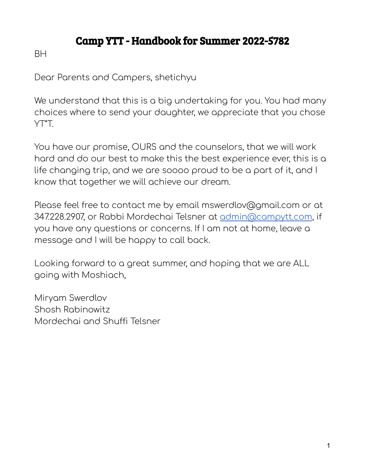# Camp YTT - Handbook for Summer 2022-5782

**BH** 

Dear Parents and Campers, shetichyu

We understand that this is a big undertaking for you. You had many choices where to send your daughter, we appreciate that you chose YT"T.

You have our promise, OURS and the counselors, that we will work hard and do our best to make this the best experience ever, this is a life changing trip, and we are soooo proud to be a part of it, and I know that together we will achieve our dream.

Please feel free to contact me by email mswerdlov@gmail.com or at 347.228.2907, or Rabbi Mordechai Telsner at [admin@campytt.com,](mailto:admin@campytt.com) if you have any questions or concerns. If I am not at home, leave a message and I will be happy to call back.

Looking forward to a great summer, and hoping that we are ALL going with Moshiach,

Miryam Swerdlov Shosh Rabinowitz Mordechai and Shuffi Telsner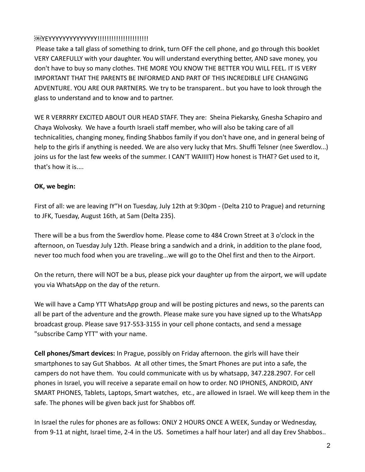# YEYYYYYYYYYYYYYY!!!!!!!!!!!!!!!!!!!!!!

Please take a tall glass of something to drink, turn OFF the cell phone, and go through this booklet VERY CAREFULLY with your daughter. You will understand everything better, AND save money, you don't have to buy so many clothes. THE MORE YOU KNOW THE BETTER YOU WILL FEEL. IT IS VERY IMPORTANT THAT THE PARENTS BE INFORMED AND PART OF THIS INCREDIBLE LIFE CHANGING ADVENTURE. YOU ARE OUR PARTNERS. We try to be transparent.. but you have to look through the glass to understand and to know and to partner.

WE R VERRRRY EXCITED ABOUT OUR HEAD STAFF. They are: Sheina Piekarsky, Gnesha Schapiro and Chaya Wolvosky. We have a fourth Israeli staff member, who will also be taking care of all technicalities, changing money, finding Shabbos family if you don't have one, and in general being of help to the girls if anything is needed. We are also very lucky that Mrs. Shuffi Telsner (nee Swerdlov...) joins us for the last few weeks of the summer. I CAN'T WAIIIIT) How honest is THAT? Get used to it, that's how it is....

# **OK, we begin:**

First of all: we are leaving IY"H on Tuesday, July 12th at 9:30pm - (Delta 210 to Prague) and returning to JFK, Tuesday, August 16th, at 5am (Delta 235).

There will be a bus from the Swerdlov home. Please come to 484 Crown Street at 3 o'clock in the afternoon, on Tuesday July 12th. Please bring a sandwich and a drink, in addition to the plane food, never too much food when you are traveling...we will go to the Ohel first and then to the Airport.

On the return, there will NOT be a bus, please pick your daughter up from the airport, we will update you via WhatsApp on the day of the return.

We will have a Camp YTT WhatsApp group and will be posting pictures and news, so the parents can all be part of the adventure and the growth. Please make sure you have signed up to the WhatsApp broadcast group. Please save 917-553-3155 in your cell phone contacts, and send a message "subscribe Camp YTT" with your name.

**Cell phones/Smart devices:** In Prague, possibly on Friday afternoon. the girls will have their smartphones to say Gut Shabbos. At all other times, the Smart Phones are put into a safe, the campers do not have them. You could communicate with us by whatsapp, 347.228.2907. For cell phones in Israel, you will receive a separate email on how to order. NO IPHONES, ANDROID, ANY SMART PHONES, Tablets, Laptops, Smart watches, etc., are allowed in Israel. We will keep them in the safe. The phones will be given back just for Shabbos off.

In Israel the rules for phones are as follows: ONLY 2 HOURS ONCE A WEEK, Sunday or Wednesday, from 9-11 at night, Israel time, 2-4 in the US. Sometimes a half hour later) and all day Erev Shabbos..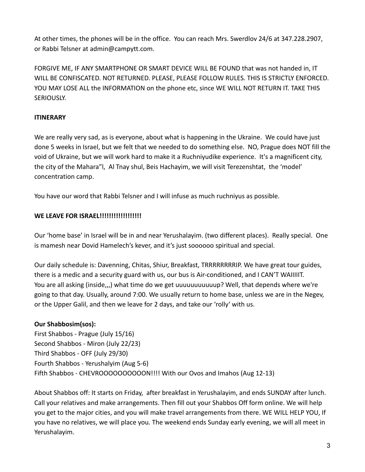At other times, the phones will be in the office. You can reach Mrs. Swerdlov 24/6 at 347.228.2907, or Rabbi Telsner at admin@campytt.com.

FORGIVE ME, IF ANY SMARTPHONE OR SMART DEVICE WILL BE FOUND that was not handed in, IT WILL BE CONFISCATED. NOT RETURNED. PLEASE, PLEASE FOLLOW RULES. THIS IS STRICTLY ENFORCED. YOU MAY LOSE ALL the INFORMATION on the phone etc, since WE WILL NOT RETURN IT. TAKE THIS SERIOUSLY.

## **ITINERARY**

We are really very sad, as is everyone, about what is happening in the Ukraine. We could have just done 5 weeks in Israel, but we felt that we needed to do something else. NO, Prague does NOT fill the void of Ukraine, but we will work hard to make it a Ruchniyudike experience. It's a magnificent city, the city of the Mahara"l, Al Tnay shul, Beis Hachayim, we will visit Terezenshtat, the 'model' concentration camp.

You have our word that Rabbi Telsner and I will infuse as much ruchniyus as possible.

# **WE LEAVE FOR ISRAEL!!!!!!!!!!!!!!!!!!**

Our 'home base' in Israel will be in and near Yerushalayim. (two different places). Really special. One is mamesh near Dovid Hamelech's kever, and it's just soooooo spiritual and special.

Our daily schedule is: Davenning, Chitas, Shiur, Breakfast, TRRRRRRRRIP. We have great tour guides, there is a medic and a security guard with us, our bus is Air-conditioned, and I CAN'T WAIIIIIT. You are all asking (inside,,,) what time do we get uuuuuuuuuuuup? Well, that depends where we're going to that day. Usually, around 7:00. We usually return to home base, unless we are in the Negev, or the Upper Galil, and then we leave for 2 days, and take our 'rolly' with us.

# **Our Shabbosim(sos):**

First Shabbos - Prague (July 15/16) Second Shabbos - Miron (July 22/23) Third Shabbos - OFF (July 29/30) Fourth Shabbos - Yerushalyim (Aug 5-6) Fifth Shabbos - CHEVROOOOOOOOOON!!!! With our Ovos and Imahos (Aug 12-13)

About Shabbos off: It starts on Friday, after breakfast in Yerushalayim, and ends SUNDAY after lunch. Call your relatives and make arrangements. Then fill out your Shabbos Off form online. We will help you get to the major cities, and you will make travel arrangements from there. WE WILL HELP YOU, If you have no relatives, we will place you. The weekend ends Sunday early evening, we will all meet in Yerushalayim.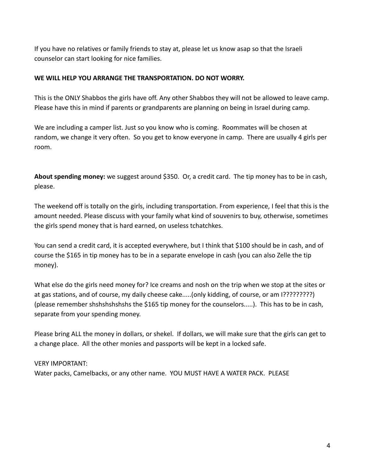If you have no relatives or family friends to stay at, please let us know asap so that the Israeli counselor can start looking for nice families.

## **WE WILL HELP YOU ARRANGE THE TRANSPORTATION. DO NOT WORRY.**

This is the ONLY Shabbos the girls have off. Any other Shabbos they will not be allowed to leave camp. Please have this in mind if parents or grandparents are planning on being in Israel during camp.

We are including a camper list. Just so you know who is coming. Roommates will be chosen at random, we change it very often. So you get to know everyone in camp. There are usually 4 girls per room.

**About spending money:** we suggest around \$350. Or, a credit card. The tip money has to be in cash, please.

The weekend off is totally on the girls, including transportation. From experience, I feel that this is the amount needed. Please discuss with your family what kind of souvenirs to buy, otherwise, sometimes the girls spend money that is hard earned, on useless tchatchkes.

You can send a credit card, it is accepted everywhere, but I think that \$100 should be in cash, and of course the \$165 in tip money has to be in a separate envelope in cash (you can also Zelle the tip money).

What else do the girls need money for? Ice creams and nosh on the trip when we stop at the sites or at gas stations, and of course, my daily cheese cake.....(only kidding, of course, or am I?????????) (please remember shshshshshshs the \$165 tip money for the counselors.....). This has to be in cash, separate from your spending money.

Please bring ALL the money in dollars, or shekel. If dollars, we will make sure that the girls can get to a change place. All the other monies and passports will be kept in a locked safe.

VERY IMPORTANT: Water packs, Camelbacks, or any other name. YOU MUST HAVE A WATER PACK. PLEASE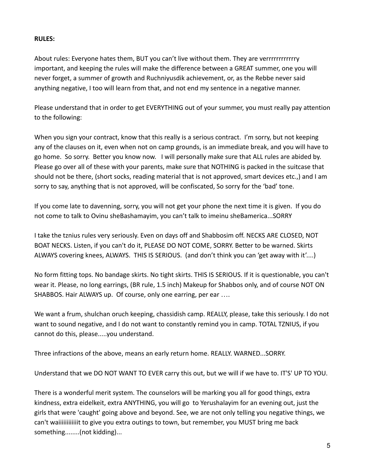## **RULES:**

About rules: Everyone hates them, BUT you can't live without them. They are verrrrrrrrrrrry important, and keeping the rules will make the difference between a GREAT summer, one you will never forget, a summer of growth and Ruchniyusdik achievement, or, as the Rebbe never said anything negative, I too will learn from that, and not end my sentence in a negative manner.

Please understand that in order to get EVERYTHING out of your summer, you must really pay attention to the following:

When you sign your contract, know that this really is a serious contract. I'm sorry, but not keeping any of the clauses on it, even when not on camp grounds, is an immediate break, and you will have to go home. So sorry. Better you know now. I will personally make sure that ALL rules are abided by. Please go over all of these with your parents, make sure that NOTHING is packed in the suitcase that should not be there, (short socks, reading material that is not approved, smart devices etc.,) and I am sorry to say, anything that is not approved, will be confiscated, So sorry for the 'bad' tone.

If you come late to davenning, sorry, you will not get your phone the next time it is given. If you do not come to talk to Ovinu sheBashamayim, you can't talk to imeinu sheBamerica...SORRY

I take the tznius rules very seriously. Even on days off and Shabbosim off. NECKS ARE CLOSED, NOT BOAT NECKS. Listen, if you can't do it, PLEASE DO NOT COME, SORRY. Better to be warned. Skirts ALWAYS covering knees, ALWAYS. THIS IS SERIOUS. (and don't think you can 'get away with it'....)

No form fitting tops. No bandage skirts. No tight skirts. THIS IS SERIOUS. If it is questionable, you can't wear it. Please, no long earrings, (BR rule, 1.5 inch) Makeup for Shabbos only, and of course NOT ON SHABBOS. Hair ALWAYS up. Of course, only one earring, per ear ....

We want a frum, shulchan oruch keeping, chassidish camp. REALLY, please, take this seriously. I do not want to sound negative, and I do not want to constantly remind you in camp. TOTAL TZNIUS, if you cannot do this, please.....you understand.

Three infractions of the above, means an early return home. REALLY. WARNED...SORRY.

Understand that we DO NOT WANT TO EVER carry this out, but we will if we have to. IT'S' UP TO YOU.

There is a wonderful merit system. The counselors will be marking you all for good things, extra kindness, extra eidelkeit, extra ANYTHING, you will go to Yerushalayim for an evening out, just the girls that were 'caught' going above and beyond. See, we are not only telling you negative things, we can't waiiiiiiiiiiiiit to give you extra outings to town, but remember, you MUST bring me back something........(not kidding)...